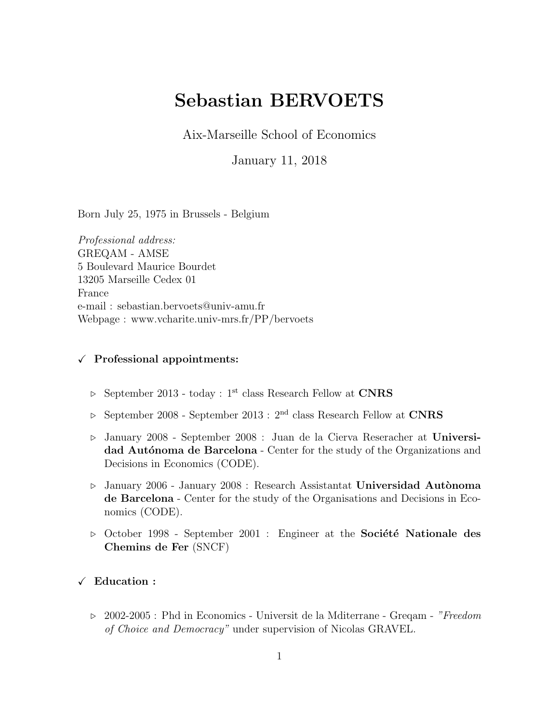# Sebastian BERVOETS

Aix-Marseille School of Economics

January 11, 2018

Born July 25, 1975 in Brussels - Belgium

Professional address: GREQAM - AMSE 5 Boulevard Maurice Bourdet 13205 Marseille Cedex 01 France e-mail : sebastian.bervoets@univ-amu.fr Webpage : www.vcharite.univ-mrs.fr/PP/bervoets

## $\checkmark$  Professional appointments:

- $\triangleright$  September 2013 today : 1<sup>st</sup> class Research Fellow at CNRS
- $\triangleright$  September 2008 September 2013 :  $2^{\text{nd}}$  class Research Fellow at  $\textbf{CNRS}$
- . January 2008 September 2008 : Juan de la Cierva Reseracher at Universidad Autónoma de Barcelona - Center for the study of the Organizations and Decisions in Economics (CODE).
- $\triangleright$  January 2006 January 2008 : Research Assistantat Universidad Autònoma de Barcelona - Center for the study of the Organisations and Decisions in Economics (CODE).
- $\triangleright$  October 1998 September 2001 : Engineer at the **Société Nationale des** Chemins de Fer (SNCF)

## $\checkmark$  Education :

 $\triangleright$  2002-2005 : Phd in Economics - Universit de la Mditerrane - Gregam - "Freedom" of Choice and Democracy" under supervision of Nicolas GRAVEL.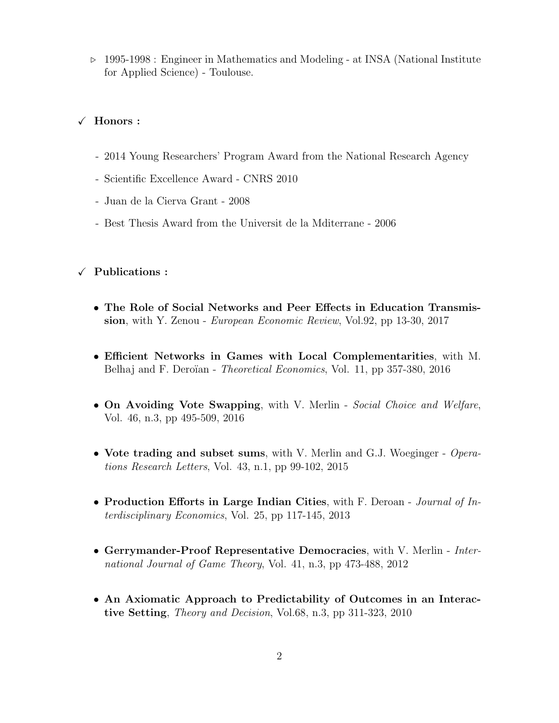. 1995-1998 : Engineer in Mathematics and Modeling - at INSA (National Institute for Applied Science) - Toulouse.

#### $\checkmark$  Honors :

- 2014 Young Researchers' Program Award from the National Research Agency
- Scientific Excellence Award CNRS 2010
- Juan de la Cierva Grant 2008
- Best Thesis Award from the Universit de la Mditerrane 2006

#### $\checkmark$  Publications :

- The Role of Social Networks and Peer Effects in Education Transmission, with Y. Zenou - *European Economic Review*, Vol.92, pp 13-30, 2017
- Efficient Networks in Games with Local Complementarities, with M. Belhaj and F. Deroïan - *Theoretical Economics*, Vol. 11, pp 357-380, 2016
- On Avoiding Vote Swapping, with V. Merlin Social Choice and Welfare, Vol. 46, n.3, pp 495-509, 2016
- Vote trading and subset sums, with V. Merlin and G.J. Woeginger Operations Research Letters, Vol. 43, n.1, pp 99-102, 2015
- Production Efforts in Large Indian Cities, with F. Deroan Journal of Interdisciplinary Economics, Vol. 25, pp 117-145, 2013
- Gerrymander-Proof Representative Democracies, with V. Merlin International Journal of Game Theory, Vol. 41, n.3, pp 473-488, 2012
- An Axiomatic Approach to Predictability of Outcomes in an Interactive Setting, Theory and Decision, Vol.68, n.3, pp 311-323, 2010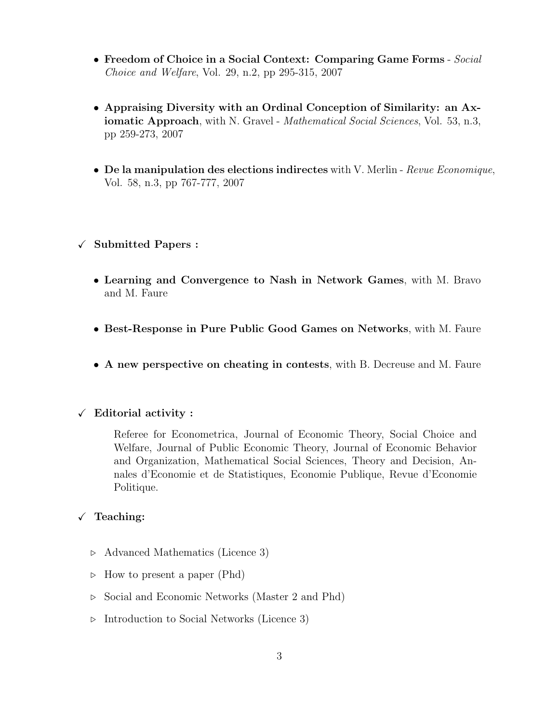- Freedom of Choice in a Social Context: Comparing Game Forms Social Choice and Welfare, Vol. 29, n.2, pp 295-315, 2007
- Appraising Diversity with an Ordinal Conception of Similarity: an Axiomatic Approach, with N. Gravel - Mathematical Social Sciences, Vol. 53, n.3, pp 259-273, 2007
- De la manipulation des elections indirectes with V. Merlin Revue Economique, Vol. 58, n.3, pp 767-777, 2007

## $\checkmark$  Submitted Papers :

- Learning and Convergence to Nash in Network Games, with M. Bravo and M. Faure
- Best-Response in Pure Public Good Games on Networks, with M. Faure
- A new perspective on cheating in contests, with B. Decreuse and M. Faure

#### $\checkmark$  Editorial activity :

Referee for Econometrica, Journal of Economic Theory, Social Choice and Welfare, Journal of Public Economic Theory, Journal of Economic Behavior and Organization, Mathematical Social Sciences, Theory and Decision, Annales d'Economie et de Statistiques, Economie Publique, Revue d'Economie Politique.

#### $\sqrt{\phantom{a}}$  Teaching:

- $\triangleright$  Advanced Mathematics (Licence 3)
- $\triangleright$  How to present a paper (Phd)
- . Social and Economic Networks (Master 2 and Phd)
- $\triangleright$  Introduction to Social Networks (Licence 3)